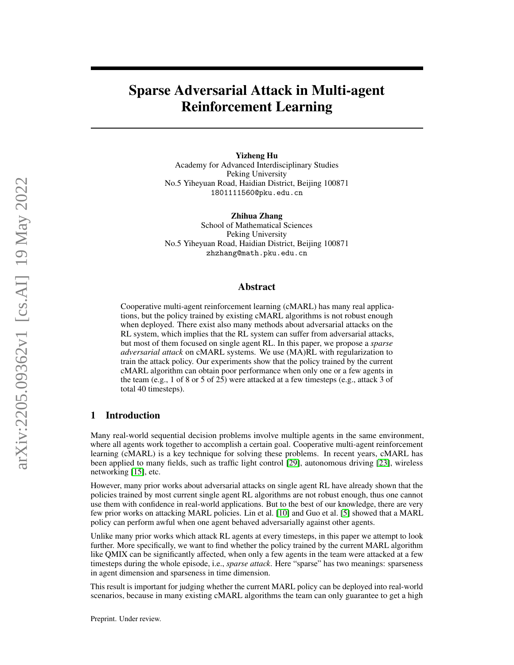# Sparse Adversarial Attack in Multi-agent Reinforcement Learning

Yizheng Hu Academy for Advanced Interdisciplinary Studies Peking University No.5 Yiheyuan Road, Haidian District, Beijing 100871 1801111560@pku.edu.cn

Zhihua Zhang School of Mathematical Sciences Peking University No.5 Yiheyuan Road, Haidian District, Beijing 100871 zhzhang@math.pku.edu.cn

## Abstract

Cooperative multi-agent reinforcement learning (cMARL) has many real applications, but the policy trained by existing cMARL algorithms is not robust enough when deployed. There exist also many methods about adversarial attacks on the RL system, which implies that the RL system can suffer from adversarial attacks, but most of them focused on single agent RL. In this paper, we propose a *sparse adversarial attack* on cMARL systems. We use (MA)RL with regularization to train the attack policy. Our experiments show that the policy trained by the current cMARL algorithm can obtain poor performance when only one or a few agents in the team (e.g., 1 of 8 or 5 of 25) were attacked at a few timesteps (e.g., attack 3 of total 40 timesteps).

## 1 Introduction

Many real-world sequential decision problems involve multiple agents in the same environment, where all agents work together to accomplish a certain goal. Cooperative multi-agent reinforcement learning (cMARL) is a key technique for solving these problems. In recent years, cMARL has been applied to many fields, such as traffic light control [\[29\]](#page-10-0), autonomous driving [\[23\]](#page-10-1), wireless networking [\[15\]](#page-9-0), etc.

However, many prior works about adversarial attacks on single agent RL have already shown that the policies trained by most current single agent RL algorithms are not robust enough, thus one cannot use them with confidence in real-world applications. But to the best of our knowledge, there are very few prior works on attacking MARL policies. Lin et al. [\[10\]](#page-9-1) and Guo et al. [\[5\]](#page-9-2) showed that a MARL policy can perform awful when one agent behaved adversarially against other agents.

Unlike many prior works which attack RL agents at every timesteps, in this paper we attempt to look further. More specifically, we want to find whether the policy trained by the current MARL algorithm like QMIX can be significantly affected, when only a few agents in the team were attacked at a few timesteps during the whole episode, i.e., *sparse attack*. Here "sparse" has two meanings: sparseness in agent dimension and sparseness in time dimension.

This result is important for judging whether the current MARL policy can be deployed into real-world scenarios, because in many existing cMARL algorithms the team can only guarantee to get a high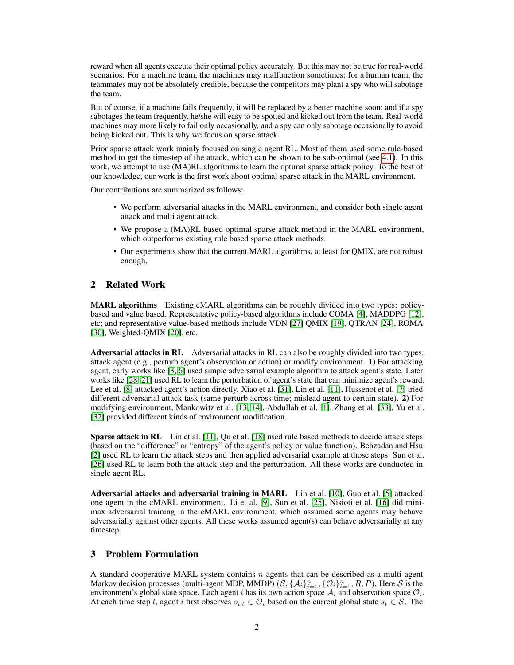reward when all agents execute their optimal policy accurately. But this may not be true for real-world scenarios. For a machine team, the machines may malfunction sometimes; for a human team, the teammates may not be absolutely credible, because the competitors may plant a spy who will sabotage the team.

But of course, if a machine fails frequently, it will be replaced by a better machine soon; and if a spy sabotages the team frequently, he/she will easy to be spotted and kicked out from the team. Real-world machines may more likely to fail only occasionally, and a spy can only sabotage occasionally to avoid being kicked out. This is why we focus on sparse attack.

Prior sparse attack work mainly focused on single agent RL. Most of them used some rule-based method to get the timestep of the attack, which can be shown to be sub-optimal (see [4.1\)](#page-2-0). In this work, we attempt to use  $(MA)RL$  algorithms to learn the optimal sparse attack policy. To the best of our knowledge, our work is the first work about optimal sparse attack in the MARL environment.

Our contributions are summarized as follows:

- We perform adversarial attacks in the MARL environment, and consider both single agent attack and multi agent attack.
- We propose a (MA)RL based optimal sparse attack method in the MARL environment, which outperforms existing rule based sparse attack methods.
- Our experiments show that the current MARL algorithms, at least for QMIX, are not robust enough.

# 2 Related Work

MARL algorithms Existing cMARL algorithms can be roughly divided into two types: policybased and value based. Representative policy-based algorithms include COMA [\[4\]](#page-9-3), MADDPG [\[12\]](#page-9-4), etc; and representative value-based methods include VDN [\[27\]](#page-10-2) QMIX [\[19\]](#page-10-3), QTRAN [\[24\]](#page-10-4), ROMA [\[30\]](#page-10-5), Weighted-QMIX [\[20\]](#page-10-6), etc.

Adversarial attacks in RL Adversarial attacks in RL can also be roughly divided into two types: attack agent (e.g., perturb agent's observation or action) or modify environment. 1) For attacking agent, early works like [\[3,](#page-9-5) [6\]](#page-9-6) used simple adversarial example algorithm to attack agent's state. Later works like [\[28,](#page-10-7) [21\]](#page-10-8) used RL to learn the perturbation of agent's state that can minimize agent's reward. Lee et al. [\[8\]](#page-9-7) attacked agent's action directly. Xiao et al. [\[31\]](#page-10-9), Lin et al. [\[11\]](#page-9-8), Hussenot et al. [\[7\]](#page-9-9) tried different adversarial attack task (same perturb across time; mislead agent to certain state). 2) For modifying environment, Mankowitz et al. [\[13,](#page-9-10) [14\]](#page-9-11), Abdullah et al. [\[1\]](#page-9-12), Zhang et al. [\[33\]](#page-10-10), Yu et al. [\[32\]](#page-10-11) provided different kinds of environment modification.

**Sparse attack in RL** Lin et al. [\[11\]](#page-9-8), Qu et al. [\[18\]](#page-10-12) used rule based methods to decide attack steps (based on the "difference" or "entropy" of the agent's policy or value function). Behzadan and Hsu [\[2\]](#page-9-13) used RL to learn the attack steps and then applied adversarial example at those steps. Sun et al. [\[26\]](#page-10-13) used RL to learn both the attack step and the perturbation. All these works are conducted in single agent RL.

Adversarial attacks and adversarial training in MARL Lin et al. [\[10\]](#page-9-1), Guo et al. [\[5\]](#page-9-2) attacked one agent in the cMARL environment. Li et al. [\[9\]](#page-9-14), Sun et al. [\[25\]](#page-10-14), Nisioti et al. [\[16\]](#page-10-15) did minimax adversarial training in the cMARL environment, which assumed some agents may behave adversarially against other agents. All these works assumed agent(s) can behave adversarially at any timestep.

## 3 Problem Formulation

A standard cooperative MARL system contains  $n$  agents that can be described as a multi-agent Markov decision processes (multi-agent MDP, MMDP)  $(S, \{A_i\}_{i=1}^n, \{O_i\}_{i=1}^n, R, P)$ . Here S is the environment's global state space. Each agent i has its own action space  $A_i$  and observation space  $\mathcal{O}_i$ . At each time step t, agent i first observes  $o_{i,t} \in \mathcal{O}_i$  based on the current global state  $s_t \in \mathcal{S}$ . The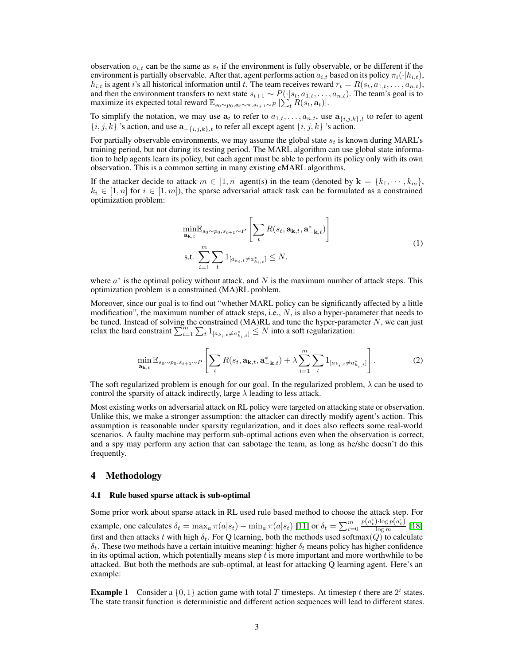observation  $o_{i,t}$  can be the same as  $s_t$  if the environment is fully observable, or be different if the environment is partially observable. After that, agent performs action  $a_{i,t}$  based on its policy  $\pi_i(\cdot|h_{i,t})$ ,  $h_{i,t}$  is agent i's all historical information until t. The team receives reward  $r_t = R(s_t, a_{1,t}, \ldots, a_{n,t}),$ and then the environment transfers to next state  $s_{t+1} \sim P(\cdot|s_t, a_{1,t}, \ldots, a_{n,t})$ . The team's goal is to maximize its expected total reward  $\mathbb{E}_{s_0 \sim p_0, \mathbf{a}_t \sim \pi, s_{t+1} \sim P} [\sum_t^{\infty} R(s_t, \mathbf{a}_t)].$ 

To simplify the notation, we may use  $a_t$  to refer to  $a_{1,t}, \ldots, a_{n,t}$ , use  $a_{\{i,j,k\},t}$  to refer to agent  ${i, j, k}$  's action, and use  $\mathbf{a}_{-\{i,j,k\},t}$  to refer all except agent  $\{i, j, k\}$  's action.

For partially observable environments, we may assume the global state  $s_t$  is known during MARL's training period, but not during its testing period. The MARL algorithm can use global state information to help agents learn its policy, but each agent must be able to perform its policy only with its own observation. This is a common setting in many existing cMARL algorithms.

If the attacker decide to attack  $m \in [1, n]$  agent(s) in the team (denoted by  $\mathbf{k} = \{k_1, \dots, k_m\}$ ,  $k_i \in [1, n]$  for  $i \in [1, m]$ , the sparse adversarial attack task can be formulated as a constrained optimization problem:

$$
\min_{\mathbf{a}_{\mathbf{k},t}} \mathbb{E}_{s_0 \sim p_0, s_{t+1} \sim P} \left[ \sum_t R(s_t, \mathbf{a}_{\mathbf{k},t}, \mathbf{a}_{-\mathbf{k},t}^*) \right]
$$
\ns.t. 
$$
\sum_{i=1}^m \sum_t \mathbf{1}_{[a_{k_i,t} \neq a_{k_i,t}^*]} \leq N.
$$
\n(1)

where  $a^*$  is the optimal policy without attack, and N is the maximum number of attack steps. This optimization problem is a constrained (MA)RL problem.

<span id="page-2-1"></span>Moreover, since our goal is to find out "whether MARL policy can be significantly affected by a little modification", the maximum number of attack steps, i.e.,  $N$ , is also a hyper-parameter that needs to be tuned. Instead of solving the constrained  $(MA)RL$  and tune the hyper-parameter  $N$ , we can just relax the hard constraint  $\sum_{i=1}^{m} \sum_{t} 1_{[a_{k_i},t \neq a_{k_i}^*,t]} \leq N$  into a soft regularization:

$$
\min_{\mathbf{a}_{\mathbf{k},t}} \mathbb{E}_{s_0 \sim p_0, s_{t+1} \sim P} \left[ \sum_t R(s_t, \mathbf{a}_{\mathbf{k},t}, \mathbf{a}^*_{-\mathbf{k},t}) + \lambda \sum_{i=1}^m \sum_t \mathbf{1}_{[a_{k_i,t} \neq a_{k_i,t}^*]} \right].
$$
 (2)

The soft regularized problem is enough for our goal. In the regularized problem,  $\lambda$  can be used to control the sparsity of attack indirectly, large  $\lambda$  leading to less attack.

Most existing works on adversarial attack on RL policy were targeted on attacking state or observation. Unlike this, we make a stronger assumption: the attacker can directly modify agent's action. This assumption is reasonable under sparsity regularization, and it does also reflects some real-world scenarios. A faulty machine may perform sub-optimal actions even when the observation is correct, and a spy may perform any action that can sabotage the team, as long as he/she doesn't do this frequently.

## 4 Methodology

#### <span id="page-2-0"></span>4.1 Rule based sparse attack is sub-optimal

Some prior work about sparse attack in RL used rule based method to choose the attack step. For example, one calculates  $\delta_t = \max_a \pi(a|s_t) - \min_a \pi(a|s_t)$  [\[11\]](#page-9-8) or  $\delta_t = \sum_{i=0}^m \frac{p(a_t^i) \cdot \log p(a_t^i)}{\log m}$  [\[18\]](#page-10-12) first and then attacks t with high  $\delta_t$ . For Q learning, both the methods used softmax(Q) to calculate  $\delta_t$ . These two methods have a certain intuitive meaning: higher  $\delta_t$  means policy has higher confidence in its optimal action, which potentially means step  $t$  is more important and more worthwhile to be attacked. But both the methods are sub-optimal, at least for attacking Q learning agent. Here's an example:

**Example 1** Consider a  $\{0, 1\}$  action game with total T timesteps. At timestep t there are  $2^t$  states. The state transit function is deterministic and different action sequences will lead to different states.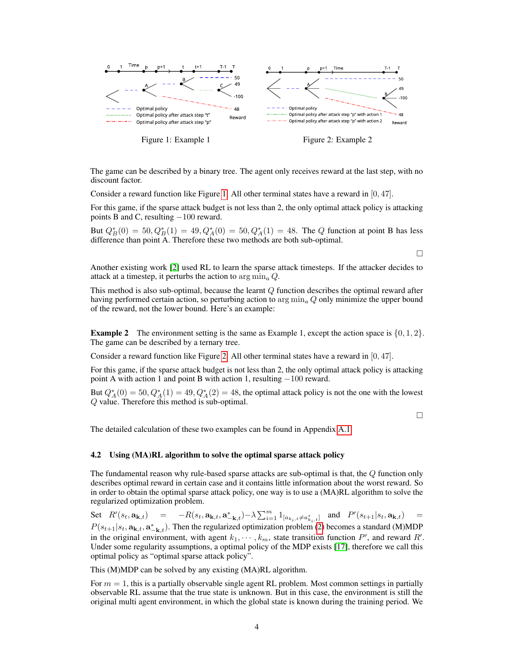

<span id="page-3-0"></span>Figure 1: Example 1 Figure 2: Example 2

The game can be described by a binary tree. The agent only receives reward at the last step, with no discount factor.

Consider a reward function like Figure [1.](#page-3-0) All other terminal states have a reward in [0, 47].

For this game, if the sparse attack budget is not less than 2, the only optimal attack policy is attacking points B and C, resulting −100 reward.

But  $Q_B^*(0) = 50, Q_B^*(1) = 49, Q_A^*(0) = 50, Q_A^*(1) = 48$ . The Q function at point B has less difference than point A. Therefore these two methods are both sub-optimal.

Another existing work [\[2\]](#page-9-13) used RL to learn the sparse attack timesteps. If the attacker decides to attack at a timestep, it perturbs the action to  $\arg \min_a Q$ .

This method is also sub-optimal, because the learnt  $Q$  function describes the optimal reward after having performed certain action, so perturbing action to  $\arg \min_a Q$  only minimize the upper bound of the reward, not the lower bound. Here's an example:

**Example 2** The environment setting is the same as Example 1, except the action space is  $\{0, 1, 2\}$ . The game can be described by a ternary tree.

Consider a reward function like Figure [2.](#page-3-1) All other terminal states have a reward in [0, 47].

For this game, if the sparse attack budget is not less than 2, the only optimal attack policy is attacking point A with action 1 and point B with action 1, resulting −100 reward.

But  $Q_A^*(0) = 50, Q_A^*(1) = 49, Q_A^*(2) = 48$ , the optimal attack policy is not the one with the lowest Q value. Therefore this method is sub-optimal.

 $\Box$ 

<span id="page-3-1"></span> $\Box$ 

The detailed calculation of these two examples can be found in Appendix [A.1](#page-11-0)

#### 4.2 Using (MA)RL algorithm to solve the optimal sparse attack policy

The fundamental reason why rule-based sparse attacks are sub-optimal is that, the Q function only describes optimal reward in certain case and it contains little information about the worst reward. So in order to obtain the optimal sparse attack policy, one way is to use a (MA)RL algorithm to solve the regularized optimization problem.

Set  $R'(s_t, \mathbf{a_{k,t}}) = -R(s_t, \mathbf{a_{k,t}}, \mathbf{a_{k,t}^*}) - \lambda \sum_{i=1}^m 1_{[a_{k_i}, t \neq a_{k_i,t}^*]}$  and  $P'(s_{t+1}|s_t, \mathbf{a_{k,t}}) =$  $P(s_{t+1}|s_t, \mathbf{a_{k,t}}, \mathbf{a_{-k,t}})$ . Then the regularized optimization problem [\(2\)](#page-2-1) becomes a standard (M)MDP in the original environment, with agent  $k_1, \dots, k_m$ , state transition function P', and reward R'. Under some regularity assumptions, a optimal policy of the MDP exists [\[17\]](#page-10-16), therefore we call this optimal policy as "optimal sparse attack policy".

This (M)MDP can be solved by any existing (MA)RL algorithm.

For  $m = 1$ , this is a partially observable single agent RL problem. Most common settings in partially observable RL assume that the true state is unknown. But in this case, the environment is still the original multi agent environment, in which the global state is known during the training period. We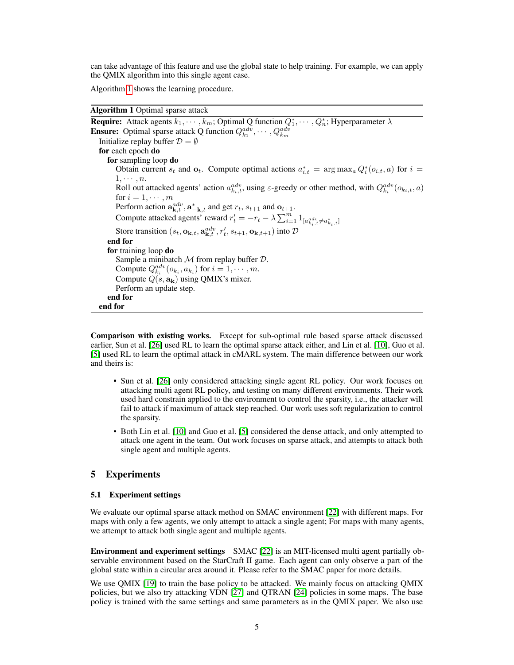can take advantage of this feature and use the global state to help training. For example, we can apply the QMIX algorithm into this single agent case.

Algorithm [1](#page-4-0) shows the learning procedure.

## Algorithm 1 Optimal sparse attack

<span id="page-4-0"></span>**Require:** Attack agents  $k_1, \dots, k_m$ ; Optimal Q function  $Q_1^*, \dots, Q_n^*$ ; Hyperparameter  $\lambda$ **Ensure:** Optimal sparse attack Q function  $Q_{k_1}^{adv}, \dots, Q_{k_m}^{adv}$ Initialize replay buffer  $\mathcal{D} = \emptyset$ for each epoch do for sampling loop do Obtain current  $s_t$  and  $o_t$ . Compute optimal actions  $a_{i,t}^* = \arg \max_a Q_i^*(o_{i,t}, a)$  for  $i =$  $1, \cdots, n$ . Roll out attacked agents' action  $a_{k_i,t}^{adv}$ , using  $\varepsilon$ -greedy or other method, with  $Q_{k_i}^{adv}(o_{k_i,t}, a)$ for  $i = 1, \dots, m$ Perform action  $\mathbf{a}^{adv}_{\mathbf{k},t}$ ,  $\mathbf{a}^*_{-\mathbf{k},t}$  and get  $r_t$ ,  $s_{t+1}$  and  $\mathbf{o}_{t+1}$ . Compute attacked agents' reward  $r'_t = -r_t - \lambda \sum_{i=1}^m 1_{[a_{k_i,t}^{adv} \neq a_{k_i,t}^*]}$ Store transition  $(s_t, \mathbf{o}_{\mathbf{k},t}, \mathbf{a}^{adv}_{\mathbf{k},t}, r'_t, s_{t+1}, \mathbf{o}_{\mathbf{k},t+1})$  into  $\mathcal{D}$ end for for training loop do Sample a minibatch  $M$  from replay buffer  $D$ . Compute  $Q_{k_i}^{adv}(o_{k_i}, a_{k_i})$  for  $i = 1, \cdots, m$ . Compute  $Q(s, a_k)$  using QMIX's mixer. Perform an update step. end for end for

Comparison with existing works. Except for sub-optimal rule based sparse attack discussed earlier, Sun et al. [\[26\]](#page-10-13) used RL to learn the optimal sparse attack either, and Lin et al. [\[10\]](#page-9-1), Guo et al. [\[5\]](#page-9-2) used RL to learn the optimal attack in cMARL system. The main difference between our work and theirs is:

- Sun et al. [\[26\]](#page-10-13) only considered attacking single agent RL policy. Our work focuses on attacking multi agent RL policy, and testing on many different environments. Their work used hard constrain applied to the environment to control the sparsity, i.e., the attacker will fail to attack if maximum of attack step reached. Our work uses soft regularization to control the sparsity.
- Both Lin et al. [\[10\]](#page-9-1) and Guo et al. [\[5\]](#page-9-2) considered the dense attack, and only attempted to attack one agent in the team. Out work focuses on sparse attack, and attempts to attack both single agent and multiple agents.

## 5 Experiments

#### 5.1 Experiment settings

We evaluate our optimal sparse attack method on SMAC environment [\[22\]](#page-10-17) with different maps. For maps with only a few agents, we only attempt to attack a single agent; For maps with many agents, we attempt to attack both single agent and multiple agents.

Environment and experiment settings SMAC [\[22\]](#page-10-17) is an MIT-licensed multi agent partially observable environment based on the StarCraft II game. Each agent can only observe a part of the global state within a circular area around it. Please refer to the SMAC paper for more details.

We use QMIX [\[19\]](#page-10-3) to train the base policy to be attacked. We mainly focus on attacking QMIX policies, but we also try attacking VDN [\[27\]](#page-10-2) and QTRAN [\[24\]](#page-10-4) policies in some maps. The base policy is trained with the same settings and same parameters as in the QMIX paper. We also use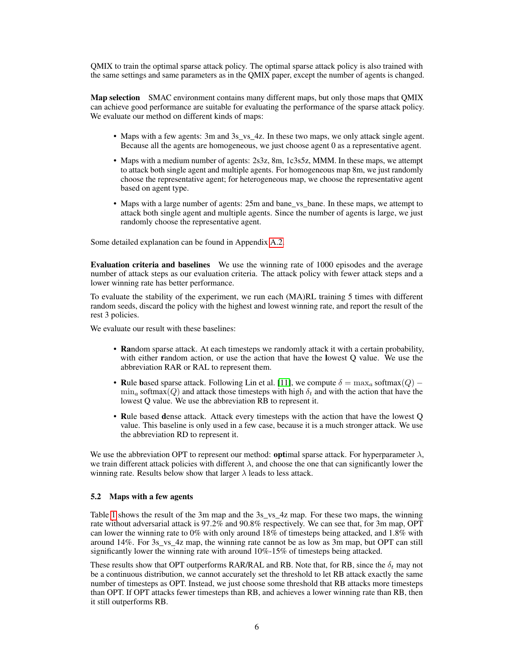QMIX to train the optimal sparse attack policy. The optimal sparse attack policy is also trained with the same settings and same parameters as in the QMIX paper, except the number of agents is changed.

Map selection SMAC environment contains many different maps, but only those maps that QMIX can achieve good performance are suitable for evaluating the performance of the sparse attack policy. We evaluate our method on different kinds of maps:

- Maps with a few agents: 3m and 3s\_vs\_4z. In these two maps, we only attack single agent. Because all the agents are homogeneous, we just choose agent 0 as a representative agent.
- Maps with a medium number of agents: 2s3z, 8m, 1c3s5z, MMM. In these maps, we attempt to attack both single agent and multiple agents. For homogeneous map 8m, we just randomly choose the representative agent; for heterogeneous map, we choose the representative agent based on agent type.
- Maps with a large number of agents: 25m and bane\_vs\_bane. In these maps, we attempt to attack both single agent and multiple agents. Since the number of agents is large, we just randomly choose the representative agent.

Some detailed explanation can be found in Appendix [A.2.](#page-12-0)

Evaluation criteria and baselines We use the winning rate of 1000 episodes and the average number of attack steps as our evaluation criteria. The attack policy with fewer attack steps and a lower winning rate has better performance.

To evaluate the stability of the experiment, we run each (MA)RL training 5 times with different random seeds, discard the policy with the highest and lowest winning rate, and report the result of the rest 3 policies.

We evaluate our result with these baselines:

- Random sparse attack. At each timesteps we randomly attack it with a certain probability, with either random action, or use the action that have the lowest Q value. We use the abbreviation RAR or RAL to represent them.
- Rule based sparse attack. Following Lin et al. [\[11\]](#page-9-8), we compute  $\delta = \max_a \text{softmax}(Q)$   $\min_a$  softmax(Q) and attack those timesteps with high  $\delta_t$  and with the action that have the lowest Q value. We use the abbreviation RB to represent it.
- Rule based dense attack. Attack every timesteps with the action that have the lowest Q value. This baseline is only used in a few case, because it is a much stronger attack. We use the abbreviation RD to represent it.

We use the abbreviation OPT to represent our method: **optimal** sparse attack. For hyperparameter  $\lambda$ , we train different attack policies with different  $\lambda$ , and choose the one that can significantly lower the winning rate. Results below show that larger  $\lambda$  leads to less attack.

## 5.2 Maps with a few agents

Table [1](#page-6-0) shows the result of the 3m map and the 3s vs 4z map. For these two maps, the winning rate without adversarial attack is 97.2% and 90.8% respectively. We can see that, for 3m map, OPT can lower the winning rate to 0% with only around 18% of timesteps being attacked, and 1.8% with around 14%. For 3s\_vs\_4z map, the winning rate cannot be as low as 3m map, but OPT can still significantly lower the winning rate with around 10%-15% of timesteps being attacked.

These results show that OPT outperforms RAR/RAL and RB. Note that, for RB, since the  $\delta_t$  may not be a continuous distribution, we cannot accurately set the threshold to let RB attack exactly the same number of timesteps as OPT. Instead, we just choose some threshold that RB attacks more timesteps than OPT. If OPT attacks fewer timesteps than RB, and achieves a lower winning rate than RB, then it still outperforms RB.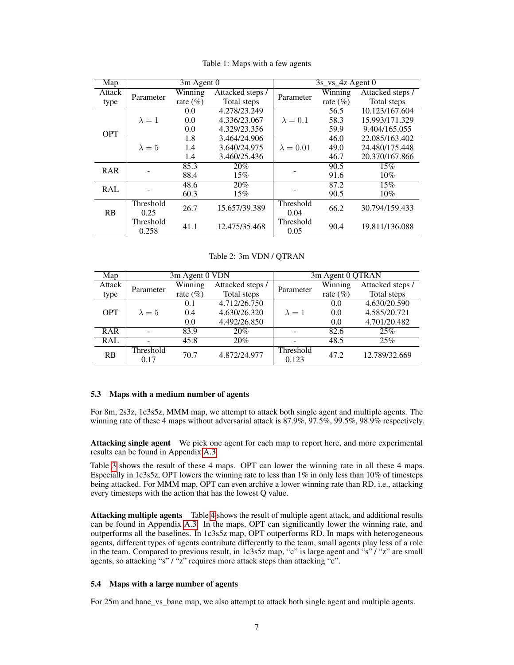<span id="page-6-0"></span>

| $\overline{\text{Map}}$ | 3m Agent 0         |             |                  | 3s_vs_4z Agent 0  |             |                  |
|-------------------------|--------------------|-------------|------------------|-------------------|-------------|------------------|
| Attack                  | Parameter          | Winning     | Attacked steps / | Parameter         | Winning     | Attacked steps / |
| type                    |                    | rate $(\%)$ | Total steps      |                   | rate $(\%)$ | Total steps      |
|                         |                    | 0.0         | 4.278/23.249     |                   | 56.5        | 10.123/167.604   |
|                         | $\lambda = 1$      | 0.0         | 4.336/23.067     | $\lambda = 0.1$   | 58.3        | 15.993/171.329   |
| <b>OPT</b>              |                    | 0.0         | 4.329/23.356     |                   | 59.9        | 9.404/165.055    |
|                         |                    | 1.8         | 3.464/24.906     |                   | 46.0        | 22.085/163.402   |
|                         | $\lambda = 5$      | 1.4         | 3.640/24.975     | $\lambda = 0.01$  | 49.0        | 24.480/175.448   |
|                         |                    | 1.4         | 3.460/25.436     |                   | 46.7        | 20.370/167.866   |
| <b>RAR</b>              |                    | 85.3        | 20%              |                   | 90.5        | 15%              |
|                         |                    | 88.4        | 15%              |                   | 91.6        | 10%              |
| <b>RAL</b>              |                    | 48.6        | 20%              |                   | 87.2        | 15%              |
|                         |                    | 60.3        | 15%              |                   | 90.5        | 10%              |
|                         | Threshold          | 26.7        | 15.657/39.389    | Threshold         | 66.2        | 30.794/159.433   |
| RB                      | 0.25               |             |                  | 0.04              |             |                  |
|                         | Threshold<br>0.258 | 41.1        | 12.475/35.468    | Threshold<br>0.05 | 90.4        | 19.811/136.088   |

Table 1: Maps with a few agents

# Table 2: 3m VDN / QTRAN

<span id="page-6-1"></span>

| Map        | 3m Agent 0 VDN    |             | 3m Agent 0 QTRAN |                    |              |                  |
|------------|-------------------|-------------|------------------|--------------------|--------------|------------------|
| Attack     | Parameter         | Winning     | Attacked steps / | Parameter          | Winning      | Attacked steps / |
| type       |                   | rate $(\%)$ | Total steps      |                    | rate $(\% )$ | Total steps      |
|            |                   | 0.1         | 4.712/26.750     |                    | 0.0          | 4.630/20.590     |
| <b>OPT</b> | $\lambda = 5$     | 0.4         | 4.630/26.320     | $\lambda = 1$      | 0.0          | 4.585/20.721     |
|            |                   | 0.0         | 4.492/26.850     |                    | 0.0          | 4.701/20.482     |
| <b>RAR</b> |                   | 83.9        | 20%              |                    | 82.6         | 25%              |
| <b>RAL</b> |                   | 45.8        | 20%              |                    | 48.5         | 25%              |
| RB         | Threshold<br>0.17 | 70.7        | 4.872/24.977     | Threshold<br>0.123 | 47.2         | 12.789/32.669    |

#### 5.3 Maps with a medium number of agents

For 8m, 2s3z, 1c3s5z, MMM map, we attempt to attack both single agent and multiple agents. The winning rate of these 4 maps without adversarial attack is 87.9%, 97.5%, 99.5%, 98.9% respectively.

Attacking single agent We pick one agent for each map to report here, and more experimental results can be found in Appendix [A.3.](#page-12-1)

Table [3](#page-7-0) shows the result of these 4 maps. OPT can lower the winning rate in all these 4 maps. Especially in 1c3s5z, OPT lowers the winning rate to less than 1% in only less than 10% of timesteps being attacked. For MMM map, OPT can even archive a lower winning rate than RD, i.e., attacking every timesteps with the action that has the lowest Q value.

Attacking multiple agents Table [4](#page-8-0) shows the result of multiple agent attack, and additional results can be found in Appendix [A.3.](#page-12-1) In the maps, OPT can significantly lower the winning rate, and outperforms all the baselines. In 1c3s5z map, OPT outperforms RD. In maps with heterogeneous agents, different types of agents contribute differently to the team, small agents play less of a role in the team. Compared to previous result, in 1c3s5z map, "c" is large agent and "s" / "z" are small agents, so attacking "s" / "z" requires more attack steps than attacking "c".

#### 5.4 Maps with a large number of agents

For 25m and bane\_vs\_bane map, we also attempt to attack both single agent and multiple agents.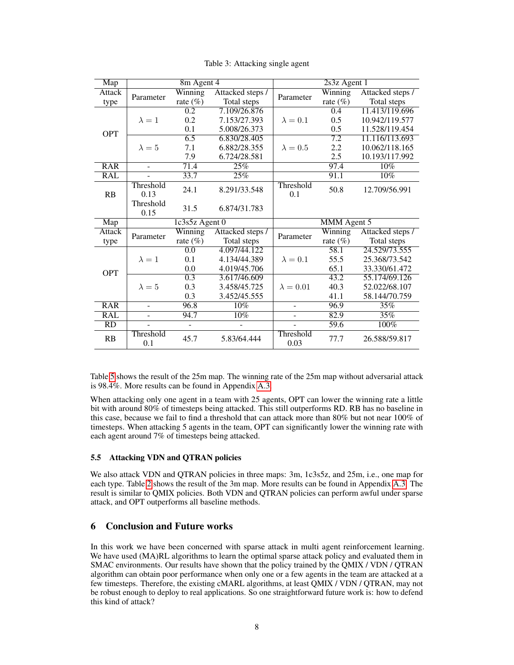<span id="page-7-0"></span>

| Map             | 8m Agent 4        |                  |                  | 2s3z Agent 1     |             |                  |
|-----------------|-------------------|------------------|------------------|------------------|-------------|------------------|
| Attack          | Parameter         | Winning          | Attacked steps / | Parameter        | Winning     | Attacked steps / |
| type            |                   | rate $(\%)$      | Total steps      |                  | rate $(\%)$ | Total steps      |
|                 |                   | 0.2              | 7.109/26.876     |                  | 0.4         | 11.413/119.696   |
|                 | $\lambda = 1$     | 0.2              | 7.153/27.393     | $\lambda = 0.1$  | 0.5         | 10.942/119.577   |
| <b>OPT</b>      |                   | 0.1              | 5.008/26.373     |                  | 0.5         | 11.528/119.454   |
|                 |                   | 6.5              | 6.830/28.405     |                  | 7.2         | 11.116/113.693   |
|                 | $\lambda = 5$     | 7.1              | 6.882/28.355     | $\lambda = 0.5$  | 2.2         | 10.062/118.165   |
|                 |                   | 7.9              | 6.724/28.581     |                  | 2.5         | 10.193/117.992   |
| <b>RAR</b>      | $\sim$            | 71.4             | 25%              |                  | 97.4        | 10%              |
| <b>RAL</b>      |                   | 33.7             | 25%              |                  | 91.1        | 10%              |
| RB              | Threshold<br>0.13 | 24.1             | 8.291/33.548     | Threshold<br>0.1 | 50.8        | 12.709/56.991    |
|                 | Threshold         | 31.5             | 6.874/31.783     |                  |             |                  |
|                 | 0.15              |                  |                  |                  |             |                  |
| Map             |                   | $1c3s5z$ Agent 0 |                  |                  | MMM Agent 5 |                  |
| Attack          |                   | Winning          | Attacked steps / |                  | Winning     | Attacked steps / |
| type            | Parameter         | rate $(\%)$      | Total steps      | Parameter        | rate $(\%)$ | Total steps      |
|                 |                   | $\overline{0.0}$ | 4.097/44.122     |                  | 58.1        | 24.529/73.555    |
|                 | $\lambda = 1$     | 0.1              | 4.134/44.389     | $\lambda = 0.1$  | 55.5        | 25.368/73.542    |
|                 |                   | 0.0              | 4.019/45.706     |                  | 65.1        | 33.330/61.472    |
| <b>OPT</b>      |                   | $\overline{0.3}$ | 3.617/46.609     |                  | 43.2        | 55.174/69.126    |
|                 | $\lambda = 5$     | 0.3              | 3.458/45.725     | $\lambda = 0.01$ | 40.3        | 52.022/68.107    |
|                 |                   | 0.3              | 3.452/45.555     |                  | 41.1        | 58.144/70.759    |
| <b>RAR</b>      |                   | 96.8             | 10%              |                  | 96.9        | 35%              |
| <b>RAL</b>      |                   | 94.7             | $10\%$           |                  | 82.9        | 35%              |
| $\overline{RD}$ | Threshold         | ÷,               |                  | Threshold        | 59.6        | 100%             |

Table 3: Attacking single agent

Table [5](#page-8-1) shows the result of the 25m map. The winning rate of the 25m map without adversarial attack is 98.4%. More results can be found in Appendix [A.3.](#page-12-1)

When attacking only one agent in a team with 25 agents, OPT can lower the winning rate a little bit with around 80% of timesteps being attacked. This still outperforms RD. RB has no baseline in this case, because we fail to find a threshold that can attack more than 80% but not near 100% of timesteps. When attacking 5 agents in the team, OPT can significantly lower the winning rate with each agent around 7% of timesteps being attacked.

## 5.5 Attacking VDN and QTRAN policies

We also attack VDN and QTRAN policies in three maps: 3m, 1c3s5z, and 25m, i.e., one map for each type. Table [2](#page-6-1) shows the result of the 3m map. More results can be found in Appendix [A.3.](#page-12-1) The result is similar to QMIX policies. Both VDN and QTRAN policies can perform awful under sparse attack, and OPT outperforms all baseline methods.

# 6 Conclusion and Future works

In this work we have been concerned with sparse attack in multi agent reinforcement learning. We have used (MA)RL algorithms to learn the optimal sparse attack policy and evaluated them in SMAC environments. Our results have shown that the policy trained by the QMIX / VDN / QTRAN algorithm can obtain poor performance when only one or a few agents in the team are attacked at a few timesteps. Therefore, the existing cMARL algorithms, at least QMIX / VDN / QTRAN, may not be robust enough to deploy to real applications. So one straightforward future work is: how to defend this kind of attack?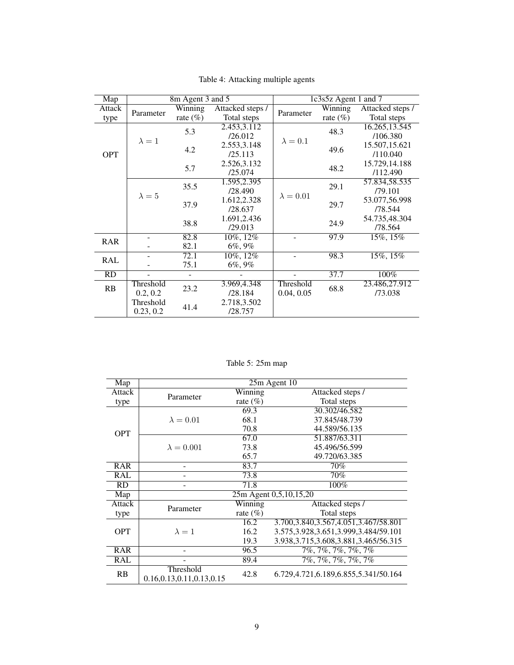<span id="page-8-0"></span>

| Map        | 8m Agent 3 and 5 |             |                  | 1c3s5z Agent 1 and 7 |             |                  |
|------------|------------------|-------------|------------------|----------------------|-------------|------------------|
| Attack     | Parameter        | Winning     | Attacked steps / | Parameter            | Winning     | Attacked steps / |
| type       |                  | rate $(\%)$ | Total steps      |                      | rate $(\%)$ | Total steps      |
|            |                  | 5.3         | 2.453,3.112      |                      | 48.3        | 16.265, 13.545   |
|            | $\lambda = 1$    |             | /26.012          | $\lambda = 0.1$      |             | /106.380         |
|            |                  | 4.2         | 2.553,3.148      |                      | 49.6        | 15.507,15.621    |
| <b>OPT</b> |                  |             | /25.113          |                      |             | /110.040         |
|            |                  | 5.7         | 2.526,3.132      |                      |             | 15.729,14.188    |
|            |                  |             | /25.074          |                      | 48.2        | /112.490         |
|            |                  | 35.5        | 1.595,2.395      |                      | 29.1        | 57.834,58.535    |
|            | $\lambda = 5$    |             | /28.490          | $\lambda = 0.01$     |             | /79.101          |
|            |                  | 37.9        | 1.612,2.328      |                      | 29.7        | 53.077,56.998    |
|            |                  |             | /28.637          |                      |             | /78.544          |
|            |                  | 38.8        | 1.691,2.436      |                      | 24.9        | 54.735,48.304    |
|            |                  |             | /29.013          |                      |             | /78.564          |
| <b>RAR</b> |                  | 82.8        | 10%, 12%         |                      | 97.9        | 15%, 15%         |
|            |                  | 82.1        | $6\%, 9\%$       |                      |             |                  |
| <b>RAL</b> |                  | 72.1        | 10%, 12%         |                      | 98.3        | 15%, 15%         |
|            |                  | 75.1        | $6\%, 9\%$       |                      |             |                  |
| <b>RD</b>  |                  |             |                  |                      | 37.7        | 100%             |
| RB         | Threshold        | 23.2        | 3.969,4.348      | Threshold            | 68.8        | 23.486,27.912    |
|            | 0.2, 0.2         |             | /28.184          | 0.04, 0.05           |             | /73.038          |
|            | Threshold        | 41.4        | 2.718,3.502      |                      |             |                  |
|            | 0.23, 0.2        |             | /28.757          |                      |             |                  |

Table 4: Attacking multiple agents

Table 5: 25m map

<span id="page-8-1"></span>

| Map        | 25m Agent 10                              |             |                                           |  |  |
|------------|-------------------------------------------|-------------|-------------------------------------------|--|--|
| Attack     | Parameter                                 | Winning     | Attacked steps /                          |  |  |
| type       |                                           | rate (%)    | Total steps                               |  |  |
|            |                                           | 69.3        | 30.302/46.582                             |  |  |
|            | $\lambda = 0.01$                          | 68.1        | 37.845/48.739                             |  |  |
| <b>OPT</b> |                                           | 70.8        | 44.589/56.135                             |  |  |
|            |                                           | 67.0        | 51.887/63.311                             |  |  |
|            | $\lambda = 0.001$                         | 73.8        | 45.496/56.599                             |  |  |
|            |                                           | 65.7        | 49.720/63.385                             |  |  |
| <b>RAR</b> |                                           | 83.7        | 70%                                       |  |  |
| <b>RAL</b> |                                           | 73.8        | 70%                                       |  |  |
| <b>RD</b>  |                                           | 71.8        | 100%                                      |  |  |
| Map        |                                           |             | 25m Agent 0,5,10,15,20                    |  |  |
| Attack     | Parameter                                 | Winning     | Attacked steps /                          |  |  |
| type       |                                           | rate $(\%)$ | Total steps                               |  |  |
|            |                                           | 16.2        | 3.700, 3.840, 3.567, 4.051, 3.467/58.801  |  |  |
| <b>OPT</b> | $\lambda = 1$                             | 16.2        | 3.575, 3.928, 3.651, 3.999, 3.484/59.101  |  |  |
|            |                                           | 19.3        | 3.938, 3.715, 3.608, 3.881, 3.465/56. 315 |  |  |
| RAR        |                                           | 96.5        | $7\%, 7\%, 7\%, 7\%, 7\%$                 |  |  |
| <b>RAL</b> |                                           | 89.4        | $7\%$ , $7\%$ , $7\%$ , $7\%$ , $7\%$     |  |  |
| RB         | Threshold<br>0.16, 0.13, 0.11, 0.13, 0.15 | 42.8        | 6.729, 4.721, 6.189, 6.855, 5.341/50.164  |  |  |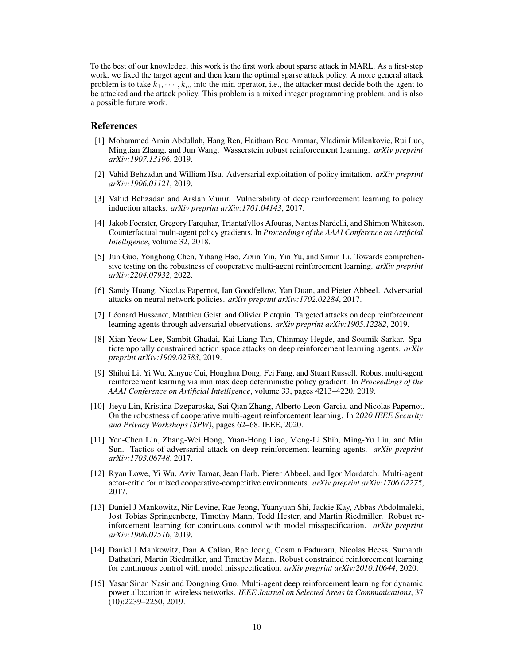To the best of our knowledge, this work is the first work about sparse attack in MARL. As a first-step work, we fixed the target agent and then learn the optimal sparse attack policy. A more general attack problem is to take  $k_1, \dots, k_m$  into the min operator, i.e., the attacker must decide both the agent to be attacked and the attack policy. This problem is a mixed integer programming problem, and is also a possible future work.

## References

- <span id="page-9-12"></span>[1] Mohammed Amin Abdullah, Hang Ren, Haitham Bou Ammar, Vladimir Milenkovic, Rui Luo, Mingtian Zhang, and Jun Wang. Wasserstein robust reinforcement learning. *arXiv preprint arXiv:1907.13196*, 2019.
- <span id="page-9-13"></span>[2] Vahid Behzadan and William Hsu. Adversarial exploitation of policy imitation. *arXiv preprint arXiv:1906.01121*, 2019.
- <span id="page-9-5"></span>[3] Vahid Behzadan and Arslan Munir. Vulnerability of deep reinforcement learning to policy induction attacks. *arXiv preprint arXiv:1701.04143*, 2017.
- <span id="page-9-3"></span>[4] Jakob Foerster, Gregory Farquhar, Triantafyllos Afouras, Nantas Nardelli, and Shimon Whiteson. Counterfactual multi-agent policy gradients. In *Proceedings of the AAAI Conference on Artificial Intelligence*, volume 32, 2018.
- <span id="page-9-2"></span>[5] Jun Guo, Yonghong Chen, Yihang Hao, Zixin Yin, Yin Yu, and Simin Li. Towards comprehensive testing on the robustness of cooperative multi-agent reinforcement learning. *arXiv preprint arXiv:2204.07932*, 2022.
- <span id="page-9-6"></span>[6] Sandy Huang, Nicolas Papernot, Ian Goodfellow, Yan Duan, and Pieter Abbeel. Adversarial attacks on neural network policies. *arXiv preprint arXiv:1702.02284*, 2017.
- <span id="page-9-9"></span>[7] Léonard Hussenot, Matthieu Geist, and Olivier Pietquin. Targeted attacks on deep reinforcement learning agents through adversarial observations. *arXiv preprint arXiv:1905.12282*, 2019.
- <span id="page-9-7"></span>[8] Xian Yeow Lee, Sambit Ghadai, Kai Liang Tan, Chinmay Hegde, and Soumik Sarkar. Spatiotemporally constrained action space attacks on deep reinforcement learning agents. *arXiv preprint arXiv:1909.02583*, 2019.
- <span id="page-9-14"></span>[9] Shihui Li, Yi Wu, Xinyue Cui, Honghua Dong, Fei Fang, and Stuart Russell. Robust multi-agent reinforcement learning via minimax deep deterministic policy gradient. In *Proceedings of the AAAI Conference on Artificial Intelligence*, volume 33, pages 4213–4220, 2019.
- <span id="page-9-1"></span>[10] Jieyu Lin, Kristina Dzeparoska, Sai Qian Zhang, Alberto Leon-Garcia, and Nicolas Papernot. On the robustness of cooperative multi-agent reinforcement learning. In *2020 IEEE Security and Privacy Workshops (SPW)*, pages 62–68. IEEE, 2020.
- <span id="page-9-8"></span>[11] Yen-Chen Lin, Zhang-Wei Hong, Yuan-Hong Liao, Meng-Li Shih, Ming-Yu Liu, and Min Sun. Tactics of adversarial attack on deep reinforcement learning agents. *arXiv preprint arXiv:1703.06748*, 2017.
- <span id="page-9-4"></span>[12] Ryan Lowe, Yi Wu, Aviv Tamar, Jean Harb, Pieter Abbeel, and Igor Mordatch. Multi-agent actor-critic for mixed cooperative-competitive environments. *arXiv preprint arXiv:1706.02275*, 2017.
- <span id="page-9-10"></span>[13] Daniel J Mankowitz, Nir Levine, Rae Jeong, Yuanyuan Shi, Jackie Kay, Abbas Abdolmaleki, Jost Tobias Springenberg, Timothy Mann, Todd Hester, and Martin Riedmiller. Robust reinforcement learning for continuous control with model misspecification. *arXiv preprint arXiv:1906.07516*, 2019.
- <span id="page-9-11"></span>[14] Daniel J Mankowitz, Dan A Calian, Rae Jeong, Cosmin Paduraru, Nicolas Heess, Sumanth Dathathri, Martin Riedmiller, and Timothy Mann. Robust constrained reinforcement learning for continuous control with model misspecification. *arXiv preprint arXiv:2010.10644*, 2020.
- <span id="page-9-0"></span>[15] Yasar Sinan Nasir and Dongning Guo. Multi-agent deep reinforcement learning for dynamic power allocation in wireless networks. *IEEE Journal on Selected Areas in Communications*, 37 (10):2239–2250, 2019.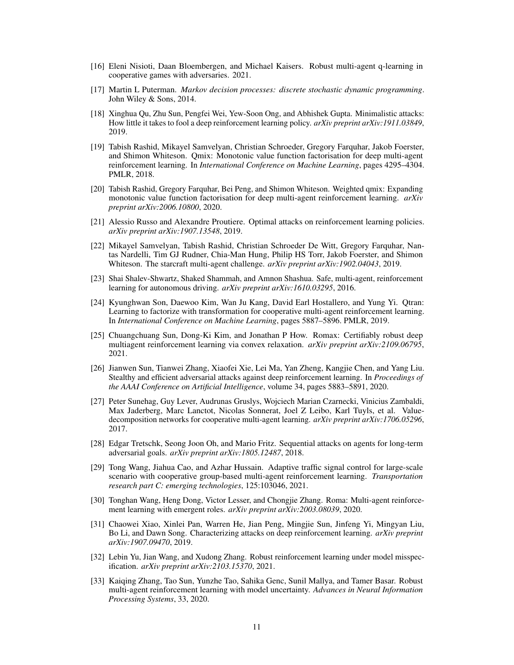- <span id="page-10-15"></span>[16] Eleni Nisioti, Daan Bloembergen, and Michael Kaisers. Robust multi-agent q-learning in cooperative games with adversaries. 2021.
- <span id="page-10-16"></span>[17] Martin L Puterman. *Markov decision processes: discrete stochastic dynamic programming*. John Wiley & Sons, 2014.
- <span id="page-10-12"></span>[18] Xinghua Qu, Zhu Sun, Pengfei Wei, Yew-Soon Ong, and Abhishek Gupta. Minimalistic attacks: How little it takes to fool a deep reinforcement learning policy. *arXiv preprint arXiv:1911.03849*, 2019.
- <span id="page-10-3"></span>[19] Tabish Rashid, Mikayel Samvelyan, Christian Schroeder, Gregory Farquhar, Jakob Foerster, and Shimon Whiteson. Qmix: Monotonic value function factorisation for deep multi-agent reinforcement learning. In *International Conference on Machine Learning*, pages 4295–4304. PMLR, 2018.
- <span id="page-10-6"></span>[20] Tabish Rashid, Gregory Farquhar, Bei Peng, and Shimon Whiteson. Weighted qmix: Expanding monotonic value function factorisation for deep multi-agent reinforcement learning. *arXiv preprint arXiv:2006.10800*, 2020.
- <span id="page-10-8"></span>[21] Alessio Russo and Alexandre Proutiere. Optimal attacks on reinforcement learning policies. *arXiv preprint arXiv:1907.13548*, 2019.
- <span id="page-10-17"></span>[22] Mikayel Samvelyan, Tabish Rashid, Christian Schroeder De Witt, Gregory Farquhar, Nantas Nardelli, Tim GJ Rudner, Chia-Man Hung, Philip HS Torr, Jakob Foerster, and Shimon Whiteson. The starcraft multi-agent challenge. *arXiv preprint arXiv:1902.04043*, 2019.
- <span id="page-10-1"></span>[23] Shai Shalev-Shwartz, Shaked Shammah, and Amnon Shashua. Safe, multi-agent, reinforcement learning for autonomous driving. *arXiv preprint arXiv:1610.03295*, 2016.
- <span id="page-10-4"></span>[24] Kyunghwan Son, Daewoo Kim, Wan Ju Kang, David Earl Hostallero, and Yung Yi. Qtran: Learning to factorize with transformation for cooperative multi-agent reinforcement learning. In *International Conference on Machine Learning*, pages 5887–5896. PMLR, 2019.
- <span id="page-10-14"></span>[25] Chuangchuang Sun, Dong-Ki Kim, and Jonathan P How. Romax: Certifiably robust deep multiagent reinforcement learning via convex relaxation. *arXiv preprint arXiv:2109.06795*, 2021.
- <span id="page-10-13"></span>[26] Jianwen Sun, Tianwei Zhang, Xiaofei Xie, Lei Ma, Yan Zheng, Kangjie Chen, and Yang Liu. Stealthy and efficient adversarial attacks against deep reinforcement learning. In *Proceedings of the AAAI Conference on Artificial Intelligence*, volume 34, pages 5883–5891, 2020.
- <span id="page-10-2"></span>[27] Peter Sunehag, Guy Lever, Audrunas Gruslys, Wojciech Marian Czarnecki, Vinicius Zambaldi, Max Jaderberg, Marc Lanctot, Nicolas Sonnerat, Joel Z Leibo, Karl Tuyls, et al. Valuedecomposition networks for cooperative multi-agent learning. *arXiv preprint arXiv:1706.05296*, 2017.
- <span id="page-10-7"></span>[28] Edgar Tretschk, Seong Joon Oh, and Mario Fritz. Sequential attacks on agents for long-term adversarial goals. *arXiv preprint arXiv:1805.12487*, 2018.
- <span id="page-10-0"></span>[29] Tong Wang, Jiahua Cao, and Azhar Hussain. Adaptive traffic signal control for large-scale scenario with cooperative group-based multi-agent reinforcement learning. *Transportation research part C: emerging technologies*, 125:103046, 2021.
- <span id="page-10-5"></span>[30] Tonghan Wang, Heng Dong, Victor Lesser, and Chongjie Zhang. Roma: Multi-agent reinforcement learning with emergent roles. *arXiv preprint arXiv:2003.08039*, 2020.
- <span id="page-10-9"></span>[31] Chaowei Xiao, Xinlei Pan, Warren He, Jian Peng, Mingjie Sun, Jinfeng Yi, Mingyan Liu, Bo Li, and Dawn Song. Characterizing attacks on deep reinforcement learning. *arXiv preprint arXiv:1907.09470*, 2019.
- <span id="page-10-11"></span>[32] Lebin Yu, Jian Wang, and Xudong Zhang. Robust reinforcement learning under model misspecification. *arXiv preprint arXiv:2103.15370*, 2021.
- <span id="page-10-10"></span>[33] Kaiqing Zhang, Tao Sun, Yunzhe Tao, Sahika Genc, Sunil Mallya, and Tamer Basar. Robust multi-agent reinforcement learning with model uncertainty. *Advances in Neural Information Processing Systems*, 33, 2020.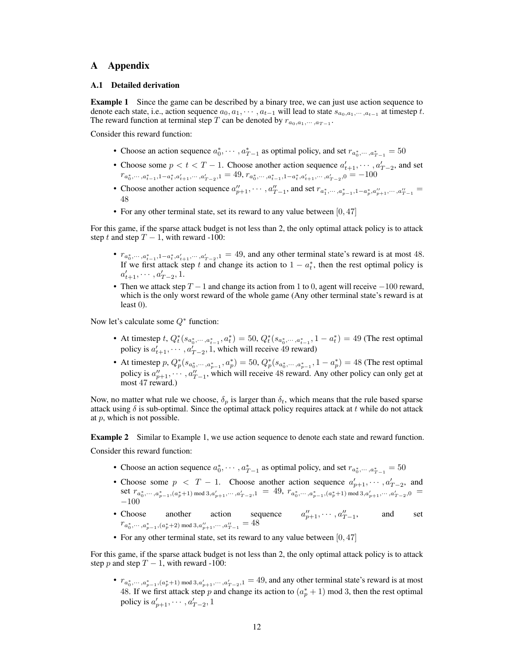# A Appendix

#### <span id="page-11-0"></span>A.1 Detailed derivation

**Example 1** Since the game can be described by a binary tree, we can just use action sequence to denote each state, i.e., action sequence  $a_0, a_1, \cdots, a_{t-1}$  will lead to state  $s_{a_0, a_1, \cdots, a_{t-1}}$  at timestep t. The reward function at terminal step T can be denoted by  $r_{a_0, a_1, \dots, a_{T-1}}$ .

Consider this reward function:

- Choose an action sequence  $a_0^*, \dots, a_{T-1}^*$  as optimal policy, and set  $r_{a_0^*, \dots, a_{T-1}^*} = 50$
- Choose some  $p < t < T 1$ . Choose another action sequence  $a'_{t+1}, \dots, a'_{T-2}$ , and set  $r_{a_0^*, \dots, a_{t-1}^*, 1-a_t^*, a_{t+1}', \dots, a_{T-2}^*, 1} = 49, r_{a_0^*, \dots, a_{t-1}^*, 1-a_t^*, a_{t+1}', \dots, a_{T-2}^*, 0} = -100$
- Choose another action sequence  $a''_{p+1}, \dots, a''_{T-1}$ , and set  $r_{a_1^*, \dots, a_{p-1}^*, 1-a_p^*, a''_{p+1}, \dots, a''_{T-1}} =$ 48
- For any other terminal state, set its reward to any value between  $[0, 47]$

For this game, if the sparse attack budget is not less than 2, the only optimal attack policy is to attack step t and step  $T - 1$ , with reward -100:

- $r_{a_0^*, \dots, a_{t-1}^*, 1-a_t^*, a_{t+1}', \dots, a_{T-2}'} = 49$ , and any other terminal state's reward is at most 48. If we first attack step t and change its action to  $1 - a_t^*$ , then the rest optimal policy is  $a'_{t+1}, \cdots, a'_{T-2}, 1.$
- Then we attack step  $T 1$  and change its action from 1 to 0, agent will receive  $-100$  reward, which is the only worst reward of the whole game (Any other terminal state's reward is at least 0).

Now let's calculate some  $Q^*$  function:

- At timestep  $t, Q_t^*(s_{a_0^*, \dots, a_{t-1}^*}, a_t^*) = 50, Q_t^*(s_{a_0^*, \dots, a_{t-1}^*}, 1 a_t^*) = 49$  (The rest optimal policy is  $a'_{t+1}, \cdots, a'_{T-2}$ , 1, which will receive 49 reward)
- At timestep  $p, Q_p^*(s_{a_0^*, \dots, a_{p-1}^*}, a_p^*) = 50, Q_p^*(s_{a_0^*, \dots, a_{p-1}^*}, 1 a_p^*) = 48$  (The rest optimal policy is  $a''_{p+1}, \dots, a''_{T-1}$ , which will receive 48 reward. Any other policy can only get at most 47 reward.)

Now, no matter what rule we choose,  $\delta_p$  is larger than  $\delta_t$ , which means that the rule based sparse attack using  $\delta$  is sub-optimal. Since the optimal attack policy requires attack at t while do not attack at  $p$ , which is not possible.

**Example 2** Similar to Example 1, we use action sequence to denote each state and reward function. Consider this reward function:

- Choose an action sequence  $a_0^*, \dots, a_{T-1}^*$  as optimal policy, and set  $r_{a_0^*, \dots, a_{T-1}^*} = 50$
- Choose some  $p < T 1$ . Choose another action sequence  $a'_{p+1}, \dots, a'_{T-2}$ , and set  $r_{a_0^*, \dots, a_{p-1}^*, (a_p^*+1) \mod 3, a'_{p+1}, \dots, a'_{T-2}, 1}$  = 49,  $r_{a_0^*, \dots, a_{p-1}^*, (a_p^*+1) \mod 3, a'_{p+1}, \dots, a'_{T-2}, 0$  = −100
- Choose another action sequence  $a''_{p+1}, \dots, a''_{T-1}$ , and set  $ra_0^*, \dots, a_{p-1}^*, (a_p^*+2) \text{ mod } 3, a_{p+1}'', \dots, a_{T-1}''=48$
- For any other terminal state, set its reward to any value between  $[0, 47]$

For this game, if the sparse attack budget is not less than 2, the only optimal attack policy is to attack step p and step  $T - 1$ , with reward -100:

•  $r_{a_0^*, \dots, a_{p-1}^*, (a_p^*+1) \mod 3, a'_{p+1}, \dots, a'_{T-2}, 1} = 49$ , and any other terminal state's reward is at most 48. If we first attack step p and change its action to  $(a_p^* + 1)$  mod 3, then the rest optimal policy is  $a'_{p+1}, \cdots, a'_{T-2}, 1$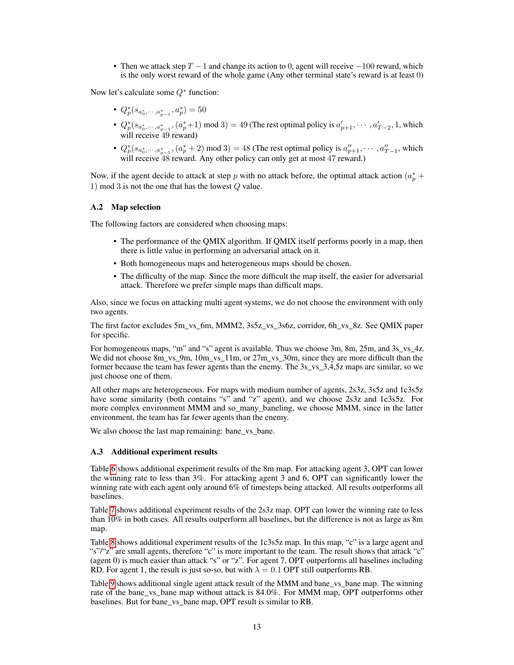• Then we attack step  $T - 1$  and change its action to 0, agent will receive  $-100$  reward, which is the only worst reward of the whole game (Any other terminal state's reward is at least 0)

Now let's calculate some  $Q^*$  function:

- $Q_p^*(s_{a_0^*,\cdots,a_{p-1}^*},a_p^*)=50$
- $Q_p^*(s_{a_0^*, \dots, a_{p-1}^*}, (a_p^*+1) \text{ mod } 3) = 49$  (The rest optimal policy is  $a'_{p+1}, \dots, a'_{T-2}, 1$ , which will receive 49 reward)
- $Q_p^*(s_{a_0^*, \dots, a_{p-1}^*}, (a_p^* + 2) \text{ mod } 3) = 48$  (The rest optimal policy is  $a_{p+1}'', \dots, a_{T-1}'',$  which will receive 48 reward. Any other policy can only get at most 47 reward.)

Now, if the agent decide to attack at step p with no attack before, the optimal attack action  $(a_p^* + a_p^*)$ 1) mod 3 is not the one that has the lowest Q value.

## <span id="page-12-0"></span>A.2 Map selection

The following factors are considered when choosing maps:

- The performance of the QMIX algorithm. If QMIX itself performs poorly in a map, then there is little value in performing an adversarial attack on it.
- Both homogeneous maps and heterogeneous maps should be chosen.
- The difficulty of the map. Since the more difficult the map itself, the easier for adversarial attack. Therefore we prefer simple maps than difficult maps.

Also, since we focus on attacking multi agent systems, we do not choose the environment with only two agents.

The first factor excludes 5m\_vs\_6m, MMM2, 3s5z\_vs\_3s6z, corridor, 6h\_vs\_8z. See OMIX paper for specific.

For homogeneous maps, "m" and "s" agent is available. Thus we choose 3m, 8m, 25m, and 3s vs 4z. We did not choose 8m\_vs\_9m, 10m\_vs\_11m, or 27m\_vs\_30m, since they are more difficult than the former because the team has fewer agents than the enemy. The  $3s$ -vs $3,4,5z$  maps are similar, so we just choose one of them.

All other maps are heterogeneous. For maps with medium number of agents, 2s3z, 3s5z and 1c3s5z have some similarity (both contains "s" and "z" agent), and we choose 2s3z and 1c3s5z. For more complex environment MMM and so\_many\_baneling, we choose MMM, since in the latter environment, the team has far fewer agents than the enemy.

We also choose the last map remaining: bane\_vs\_bane.

#### <span id="page-12-1"></span>A.3 Additional experiment results

Table [6](#page-13-0) shows additional experiment results of the 8m map. For attacking agent 3, OPT can lower the winning rate to less than 3%. For attacking agent 3 and 6, OPT can significantly lower the winning rate with each agent only around 6% of timesteps being attacked. All results outperforms all baselines.

Table [7](#page-13-1) shows additional experiment results of the 2s3z map. OPT can lower the winning rate to less than 10% in both cases. All results outperform all baselines, but the difference is not as large as 8m map.

Table [8](#page-14-0) shows additional experiment results of the 1c3s5z map. In this map, "c" is a large agent and "s"/"z" are small agents, therefore "c" is more important to the team. The result shows that attack "c" (agent 0) is much easier than attack "s" or "z". For agent 7, OPT outperforms all baselines including RD. For agent 1, the result is just so-so, but with  $\lambda = 0.1$  OPT still outperforms RB.

Table [9](#page-14-1) shows additional single agent attack result of the MMM and bane\_vs\_bane map. The winning rate of the bane\_vs\_bane map without attack is 84.0%. For MMM map, OPT outperforms other baselines. But for bane\_vs\_bane map, OPT result is similar to RB.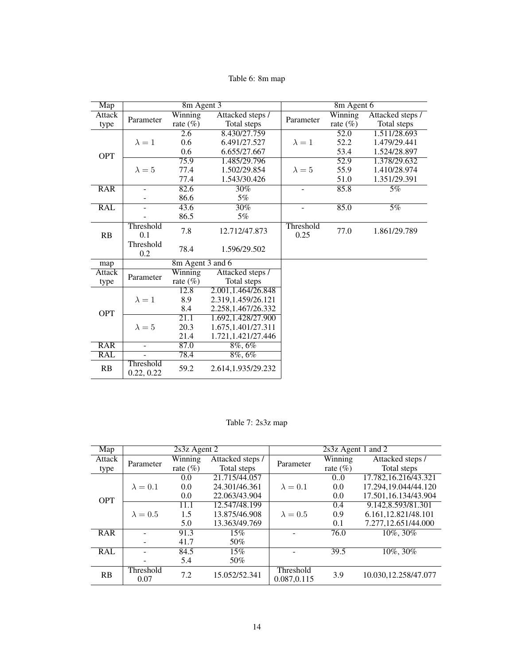# Table 6: 8m map

<span id="page-13-0"></span>

| Map           |                          | 8m Agent 3        |                     | 8m Agent 6    |             |                  |
|---------------|--------------------------|-------------------|---------------------|---------------|-------------|------------------|
| Attack        |                          | Winning           | Attacked steps /    |               | Winning     | Attacked steps / |
| type          | Parameter                | rate $(\%)$       | Total steps         | Parameter     | rate $(\%)$ | Total steps      |
|               |                          | 2.6               | 8.430/27.759        |               | 52.0        | 1.511/28.693     |
|               | $\lambda = 1$            | 0.6               | 6.491/27.527        | $\lambda = 1$ | 52.2        | 1.479/29.441     |
| <b>OPT</b>    |                          | 0.6               | 6.655/27.667        |               | 53.4        | 1.524/28.897     |
|               |                          | 75.9              | 1.485/29.796        |               | 52.9        | 1.378/29.632     |
|               | $\lambda = 5$            | 77.4              | 1.502/29.854        | $\lambda = 5$ | 55.9        | 1.410/28.974     |
|               |                          | 77.4              | 1.543/30.426        |               | 51.0        | 1.351/29.391     |
| <b>RAR</b>    | ÷.                       | 82.6              | 30%                 |               | 85.8        | 5%               |
|               |                          | 86.6              | 5%                  |               |             |                  |
| <b>RAL</b>    |                          | 43.6              | 30%                 |               | 85.0        | 5%               |
|               |                          | 86.5              | 5%                  |               |             |                  |
|               | Threshold                | 7.8               | 12.712/47.873       | Threshold     | 77.0        | 1.861/29.789     |
| RB            | 0.1                      |                   |                     | 0.25          |             |                  |
|               | Threshold<br>0.2         | 78.4              | 1.596/29.502        |               |             |                  |
| map           |                          | 8m Agent 3 and 6  |                     |               |             |                  |
| <b>Attack</b> |                          | Winning           | Attacked steps /    |               |             |                  |
| type          | Parameter                | rate $(\%)$       | Total steps         |               |             |                  |
|               |                          | 12.8              | 2.001,1.464/26.848  |               |             |                  |
|               | $\lambda = 1$            | 8.9               | 2.319,1.459/26.121  |               |             |                  |
| <b>OPT</b>    |                          | 8.4               | 2.258, 1.467/26.332 |               |             |                  |
|               |                          | $\overline{21.1}$ | 1.692, 1.428/27.900 |               |             |                  |
|               | $\lambda = 5$            | 20.3              | 1.675, 1.401/27.311 |               |             |                  |
|               |                          | 21.4              | 1.721, 1.421/27.446 |               |             |                  |
| <b>RAR</b>    | $\overline{\phantom{a}}$ | 87.0              | $8\%.\,6\%$         |               |             |                  |
| RAL           | ÷.                       | 78.4              | $8\%, 6\%$          |               |             |                  |
| RB            | Threshold<br>0.22, 0.22  | 59.2              | 2.614, 1.935/29.232 |               |             |                  |

Table 7: 2s3z map

<span id="page-13-1"></span>

| Map        | $2s3z$ Agent 2    |             |                  |                           | 2s3z Agent 1 and 2 |                       |  |
|------------|-------------------|-------------|------------------|---------------------------|--------------------|-----------------------|--|
| Attack     | Parameter         | Winning     | Attacked steps / | Parameter                 | Winning            | Attacked steps /      |  |
| type       |                   | rate $(\%)$ | Total steps      |                           | rate $(\%)$        | Total steps           |  |
|            |                   | 0.0         | 21.715/44.057    |                           | $0.0^{\circ}$      | 17.782,16.216/43.321  |  |
|            | $\lambda = 0.1$   | 0.0         | 24.301/46.361    | $\lambda = 0.1$           | 0.0                | 17.294.19.044/44.120  |  |
| <b>OPT</b> |                   | 0.0         | 22.063/43.904    |                           | 0.0                | 17.501,16.134/43.904  |  |
|            |                   | 11.1        | 12.547/48.199    |                           | 0.4                | 9.142,8.593/81.301    |  |
|            | $\lambda = 0.5$   | 1.5         | 13.875/46.908    | $\lambda = 0.5$           | 0.9                | 6.161.12.821/48.101   |  |
|            |                   | 5.0         | 13.363/49.769    |                           | 0.1                | 7.277,12.651/44.000   |  |
| <b>RAR</b> |                   | 91.3        | 15%              |                           | 76.0               | 10%, 30%              |  |
|            |                   | 41.7        | 50%              |                           |                    |                       |  |
| <b>RAL</b> |                   | 84.5        | 15%              |                           | 39.5               | 10%, 30%              |  |
|            |                   | 5.4         | 50%              |                           |                    |                       |  |
| RB         | Threshold<br>0.07 | 7.2         | 15.052/52.341    | Threshold<br>0.087, 0.115 | 3.9                | 10.030, 12.258/47.077 |  |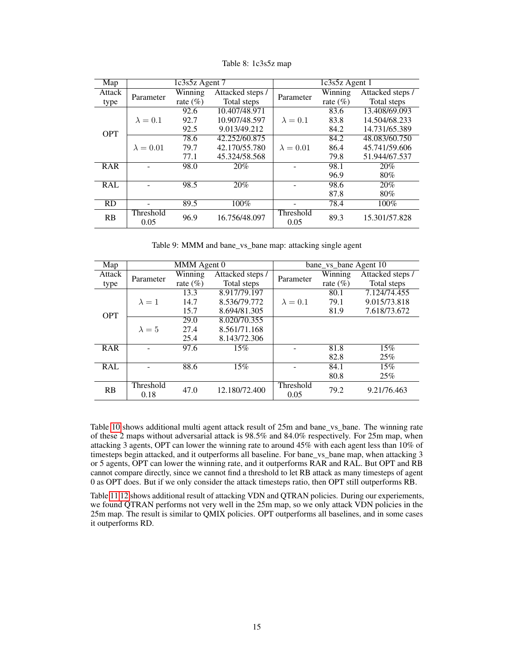<span id="page-14-0"></span>

| $\overline{\text{Map}}$ | 1c3s5z Agent 7    |             |                  | 1c3s5z Agent 1    |              |                  |
|-------------------------|-------------------|-------------|------------------|-------------------|--------------|------------------|
| Attack                  | Parameter         | Winning     | Attacked steps / | Parameter         | Winning      | Attacked steps / |
| type                    |                   | rate $(\%)$ | Total steps      |                   | rate $(\% )$ | Total steps      |
|                         |                   | 92.6        | 10.407/48.971    |                   | 83.6         | 13.408/69.093    |
|                         | $\lambda = 0.1$   | 92.7        | 10.907/48.597    | $\lambda = 0.1$   | 83.8         | 14.504/68.233    |
| <b>OPT</b>              |                   | 92.5        | 9.013/49.212     |                   | 84.2         | 14.731/65.389    |
|                         |                   | 78.6        | 42.252/60.875    |                   | 84.2         | 48.083/60.750    |
|                         | $\lambda = 0.01$  | 79.7        | 42.170/55.780    | $\lambda = 0.01$  | 86.4         | 45.741/59.606    |
|                         |                   | 77.1        | 45.324/58.568    |                   | 79.8         | 51.944/67.537    |
| <b>RAR</b>              |                   | 98.0        | 20%              |                   | 98.1         | 20%              |
|                         |                   |             |                  |                   | 96.9         | $80\%$           |
| <b>RAL</b>              |                   | 98.5        | 20%              |                   | 98.6         | 20%              |
|                         |                   |             |                  |                   | 87.8         | 80%              |
| <b>RD</b>               |                   | 89.5        | 100%             |                   | 78.4         | 100%             |
| RB                      | Threshold<br>0.05 | 96.9        | 16.756/48.097    | Threshold<br>0.05 | 89.3         | 15.301/57.828    |

Table 8: 1c3s5z map

Table 9: MMM and bane\_vs\_bane map: attacking single agent

<span id="page-14-1"></span>

| $\overline{\text{Map}}$ | MMM Agent 0       |             | bane_vs_bane Agent 10 |                   |              |                  |
|-------------------------|-------------------|-------------|-----------------------|-------------------|--------------|------------------|
| Attack                  | Parameter         | Winning     | Attacked steps /      | Parameter         | Winning      | Attacked steps / |
| type                    |                   | rate $(\%)$ | Total steps           |                   | rate $(\% )$ | Total steps      |
|                         |                   | 13.3        | 8.917/79.197          |                   | 80.1         | 7.124/74.455     |
|                         | $\lambda = 1$     | 14.7        | 8.536/79.772          | $\lambda = 0.1$   | 79.1         | 9.015/73.818     |
| <b>OPT</b>              |                   | 15.7        | 8.694/81.305          |                   | 81.9         | 7.618/73.672     |
|                         |                   | 29.0        | 8.020/70.355          |                   |              |                  |
|                         | $\lambda = 5$     | 27.4        | 8.561/71.168          |                   |              |                  |
|                         |                   | 25.4        | 8.143/72.306          |                   |              |                  |
| <b>RAR</b>              |                   | 97.6        | 15%                   |                   | 81.8         | 15%              |
|                         |                   |             |                       |                   | 82.8         | 25%              |
| <b>RAL</b>              |                   | 88.6        | 15%                   |                   | 84.1         | 15%              |
|                         |                   |             |                       |                   | 80.8         | 25%              |
| RB                      | Threshold<br>0.18 | 47.0        | 12.180/72.400         | Threshold<br>0.05 | 79.2         | 9.21/76.463      |

Table [10](#page-15-0) shows additional multi agent attack result of 25m and bane\_vs\_bane. The winning rate of these 2 maps without adversarial attack is 98.5% and 84.0% respectively. For 25m map, when attacking 3 agents, OPT can lower the winning rate to around 45% with each agent less than 10% of timesteps begin attacked, and it outperforms all baseline. For bane vs bane map, when attacking 3 or 5 agents, OPT can lower the winning rate, and it outperforms RAR and RAL. But OPT and RB cannot compare directly, since we cannot find a threshold to let RB attack as many timesteps of agent 0 as OPT does. But if we only consider the attack timesteps ratio, then OPT still outperforms RB.

Table [11](#page-16-0) [12](#page-17-0) shows additional result of attacking VDN and QTRAN policies. During our experiements, we found QTRAN performs not very well in the 25m map, so we only attack VDN policies in the 25m map. The result is similar to QMIX policies. OPT outperforms all baselines, and in some cases it outperforms RD.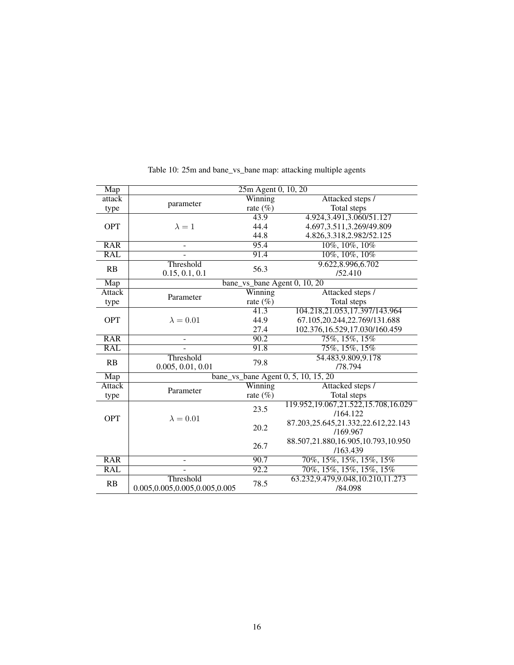<span id="page-15-0"></span>

| Map              | 25m Agent 0, 10, 20           |             |                                     |  |  |
|------------------|-------------------------------|-------------|-------------------------------------|--|--|
| attack           |                               | Winning     | Attacked steps /                    |  |  |
| type             | parameter                     | rate $(\%)$ | Total steps                         |  |  |
|                  |                               | 43.9        | 4.924, 3.491, 3.060/51.127          |  |  |
| <b>OPT</b>       | $\lambda = 1$                 | 44.4        | 4.697, 3.511, 3.269/49.809          |  |  |
|                  |                               | 44.8        | 4.826, 3.318, 2.982/52.125          |  |  |
| <b>RAR</b>       | $\overline{\phantom{0}}$      | 95.4        | 10%, 10%, 10%                       |  |  |
| RAL              |                               | 91.4        | 10%, 10%, 10%                       |  |  |
| RB               | Threshold                     | 56.3        | 9.622,8.996,6.702                   |  |  |
|                  | 0.15, 0.1, 0.1                |             | /52.410                             |  |  |
| Map              |                               |             | bane_vs_bane Agent 0, 10, 20        |  |  |
| <b>Attack</b>    | Parameter                     | Winning     | Attacked steps /                    |  |  |
| type             |                               | rate $(\%)$ | Total steps                         |  |  |
|                  |                               | 41.3        | 104.218,21.053,17.397/143.964       |  |  |
| <b>OPT</b>       | $\lambda = 0.01$              | 44.9        | 67.105,20.244,22.769/131.688        |  |  |
|                  |                               | 27.4        | 102.376,16.529,17.030/160.459       |  |  |
| $\overline{RAR}$ |                               | 90.2        | 75%, 15%, 15%                       |  |  |
| RAL              |                               | 91.8        | 75%, 15%, 15%                       |  |  |
| RB               | Threshold                     | 79.8        | 54.483,9.809,9.178                  |  |  |
|                  | 0.005, 0.01, 0.01             |             | /78.794                             |  |  |
| Map              |                               |             | bane_vs_bane Agent 0, 5, 10, 15, 20 |  |  |
| Attack           | Parameter                     | Winning     | Attacked steps /                    |  |  |
| type             |                               | rate $(\%)$ | Total steps                         |  |  |
|                  |                               | 23.5        | 119.952,19.067,21.522,15.708,16.029 |  |  |
| <b>OPT</b>       | $\lambda=0.01$                |             | /164.122                            |  |  |
|                  |                               | 20.2        | 87.203,25.645,21.332,22.612,22.143  |  |  |
|                  |                               |             | /169.967                            |  |  |
|                  |                               | 26.7        | 88.507,21.880,16.905,10.793,10.950  |  |  |
|                  |                               |             | /163.439                            |  |  |
| <b>RAR</b>       |                               | 90.7        | 70%, 15%, 15%, 15%, 15%             |  |  |
| <b>RAL</b>       |                               | 92.2        | 70%, 15%, 15%, 15%, 15%             |  |  |
| RB               | Threshold                     | 78.5        | 63.232,9.479,9.048,10.210,11.273    |  |  |
|                  | 0.005,0.005,0.005,0.005,0.005 |             | /84.098                             |  |  |

Table 10: 25m and bane\_vs\_bane map: attacking multiple agents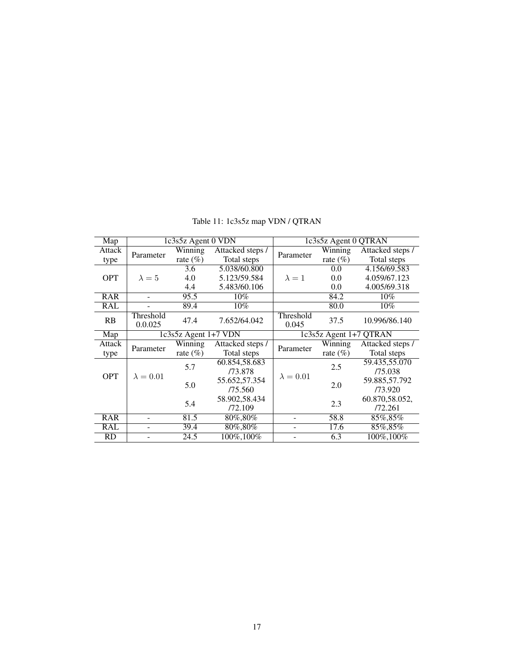<span id="page-16-0"></span>

| Map        | 1c3s5z Agent 0 VDN   |                          | 1c3s5z Agent 0 QTRAN |                        |             |                  |
|------------|----------------------|--------------------------|----------------------|------------------------|-------------|------------------|
| Attack     |                      | Winning                  | Attacked steps /     |                        | Winning     | Attacked steps / |
| type       | Parameter            | rate $(\% )$             | Total steps          | Parameter              | rate $(\%)$ | Total steps      |
|            |                      | 3.6                      | 5.038/60.800         |                        | 0.0         | 4.156/69.583     |
| <b>OPT</b> | $\lambda = 5$        | 4.0                      | 5.123/59.584         | $\lambda = 1$          | 0.0         | 4.059/67.123     |
|            |                      | 4.4                      | 5.483/60.106         |                        | 0.0         | 4.005/69.318     |
| <b>RAR</b> |                      | 95.5                     | $10\%$               |                        | 84.2        | $10\%$           |
| <b>RAL</b> |                      | 89.4                     | $10\%$               |                        | 80.0        | $10\%$           |
| RB         | Threshold<br>0.0.025 | 47.4                     | 7.652/64.042         | Threshold<br>0.045     | 37.5        | 10.996/86.140    |
| Map        |                      | $1c3s5z$ Agent $1+7$ VDN |                      | 1c3s5z Agent 1+7 QTRAN |             |                  |
|            |                      |                          |                      |                        |             |                  |
| Attack     |                      | Winning                  | Attacked steps /     |                        | Winning     | Attacked steps / |
| type       | Parameter            | rate $(\%)$              | Total steps          | Parameter              | rate $(\%)$ | Total steps      |
|            |                      |                          | 60.854,58.683        |                        |             | 59.435,55.070    |
|            |                      | 5.7                      | /73.878              |                        | 2.5         | /75.038          |
| <b>OPT</b> | $\lambda = 0.01$     |                          | 55.652,57.354        | $\lambda = 0.01$       |             | 59.885,57.792    |
|            |                      | 5.0                      | /75.560              |                        | 2.0         | /73.920          |
|            |                      |                          | 58.902,58.434        |                        |             | 60.870,58.052,   |
|            |                      | 5.4                      | /72.109              |                        | 2.3         | /72.261          |
| <b>RAR</b> |                      | 81.5                     | 80%,80%              |                        | 58.8        | 85%,85%          |
| RAL        |                      | 39.4                     | 80%,80%              |                        | 17.6        | 85%,85%          |

Table 11: 1c3s5z map VDN / QTRAN